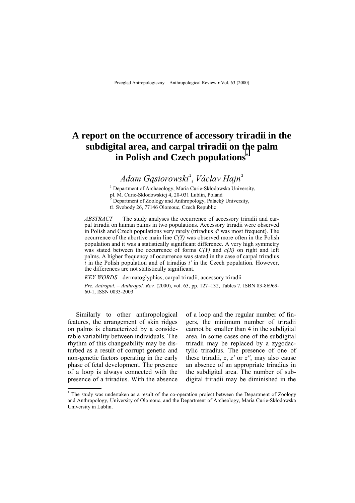# **A report on the occurrence of accessory triradii in the subdigital area, and carpal triradii on the palm in Polish and Czech populations\***

*Adam Gąsiorowski* <sup>1</sup> , *V·clav Hajn* <sup>2</sup>

<sup>1</sup> Department of Archaeology, Maria Curie-Skłodowska University,

pl. M. Curie-Skłodowskiej 4, 20-031 Lublin, Poland <sup>2</sup>

Department of Zoology and Anthropology, Palacký University,

tř. Svobody 26, 77146 Olomouc, Czech Republic

*ABSTRACT* The study analyses the occurrence of accessory triradii and carpal triradii on human palms in two populations. Accessory triradii were observed in Polish and Czech populations very rarely (triradius *d'* was most frequent). The occurrence of the abortive main line *C(Y)* was observed more often in the Polish population and it was a statistically significant difference. A very high symmetry was stated between the occurrence of forms *C(Y)* and *c(X)* on right and left palms. A higher frequency of occurrence was stated in the case of carpal triradius *t* in the Polish population and of triradius *t'* in the Czech population. However, the differences are not statistically significant.

*KEY WORDS* dermatoglyphics, carpal triradii, accessory triradii

*Prz. Antropol. – Anthropol. Rev.* (2000), vol. 63, pp. 127–132, Tables 7. ISBN 83-86969-60-1, ISSN 0033-2003

Similarly to other anthropological features, the arrangement of skin ridges on palms is characterized by a considerable variability between individuals. The rhythm of this changeability may be disturbed as a result of corrupt genetic and non-genetic factors operating in the early phase of fetal development. The presence of a loop is always connected with the presence of a triradius. With the absence of a loop and the regular number of fingers, the minimum number of triradii cannot be smaller than 4 in the subdigital area. In some cases one of the subdigital triradii may be replaced by a zygodactylic triradius. The presence of one of these triradii, *z*, *z'* or *z''*, may also cause an absence of an appropriate triradius in the subdigital area. The number of subdigital triradii may be diminished in the

 \* The study was undertaken as a result of the co-operation project between the Department of Zoology and Anthropology, University of Olomouc, and the Department of Archeology, Maria Curie-Skłodowska University in Lublin.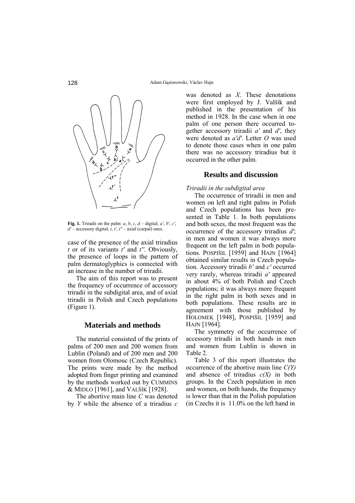

**Fig. 1.** Triradii on the palm:  $a, b, c, d$  – digital;  $a', b', c'$ ,  $d'$  – accessory digital; *t*, *t'*,  $t''$  – axial (carpal) ones.

case of the presence of the axial triradius *t* or of its variants *t'* and *t''*. Obviously, the presence of loops in the pattern of palm dermatoglyphics is connected with an increase in the number of triradii.

The aim of this report was to present the frequency of occurrence of accessory triradii in the subdigital area, and of axial triradii in Polish and Czech populations (Figure 1).

#### **Materials and methods**

The material consisted of the prints of palms of 200 men and 200 women from Lublin (Poland) and of 200 men and 200 women from Olomouc (Czech Republic). The prints were made by the method adopted from finger printing and examined by the methods worked out by CUMMINS & MIDLO [1961], and VALŠÍK [1928].

The abortive main line *C* was denoted by *Y* while the absence of a triradius *c* was denoted as *X*. These denotations were first employed by J. Valšík and published in the presentation of his method in 1928. In the case when in one palm of one person there occurred together accessory triradii *a'* and *d'*, they were denoted as *a'd'*. Letter *O* was used to denote those cases when in one palm there was no accessory triradius but it occurred in the other palm.

# **Results and discussion**

### *Triradii in the subdigital area*

The occurrence of triradii in men and women on left and right palms in Polish and Czech populations has been presented in Table 1. In both populations and both sexes, the most frequent was the occurrence of the accessory triradius *d'*; in men and women it was always more frequent on the left palm in both populations. POSPIäIL [1959] and HAJN [1964] obtained similar results in Czech population. Accessory triradii *b'* and *c'* occurred very rarely, whereas triradii *a'* appeared in about 4% of both Polish and Czech populations; it was always more frequent in the right palm in both sexes and in both populations. These results are in agreement with those published by HOLOMEK [1948], POSPIŠIL [1959] and HAJN [1964].

The symmetry of the occurrence of accessory triradii in both hands in men and women from Lublin is shown in Table 2.

Table 3 of this report illustrates the occurrence of the abortive main line *C(Y)* and absence of triradius *c(X)* in both groups. In the Czech population in men and women, on both hands, the frequency is lower than that in the Polish population (in Czechs it is 11.0% on the left hand in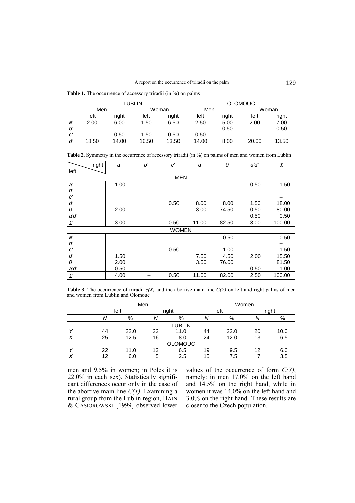**Table 1.** The occurrence of accessory triradii (in %) on palms

|    |                                |       | LUBLIN |       | <b>OLOMOUC</b> |      |       |       |  |
|----|--------------------------------|-------|--------|-------|----------------|------|-------|-------|--|
|    | Men                            |       | Woman  |       | Men            |      | Woman |       |  |
|    | right<br>riaht<br>left<br>left |       |        | left  | riaht          | left | right |       |  |
| a' | 2.00                           | 6.00  | 1.50   | 6.50  | 2.50           | 5.00 | 2.00  | 7.00  |  |
| b' |                                |       |        |       |                | 0.50 |       | 0.50  |  |
| c  |                                | 0.50  | 1.50   | 0.50  | 0.50           |      |       |       |  |
| ď  | 18.50                          | 14.00 | 16.50  | 13.50 | 14.00          | 8.00 | 20.00 | 13.50 |  |

|                         | right | a'   | b' | c'           | ď     | 0     | a'd' | Σ      |  |  |  |  |  |
|-------------------------|-------|------|----|--------------|-------|-------|------|--------|--|--|--|--|--|
| left                    |       |      |    |              |       |       |      |        |  |  |  |  |  |
| <b>MEN</b>              |       |      |    |              |       |       |      |        |  |  |  |  |  |
| a'                      |       | 1.00 |    |              |       |       | 0.50 | 1.50   |  |  |  |  |  |
| $b^{\prime}$            |       |      |    |              |       |       |      |        |  |  |  |  |  |
| $\boldsymbol{c}^\prime$ |       |      |    |              |       |       |      |        |  |  |  |  |  |
| $\boldsymbol{d'}$       |       |      |    | 0.50         | 8.00  | 8.00  | 1.50 | 18.00  |  |  |  |  |  |
| 0                       |       | 2.00 |    |              | 3.00  | 74.50 | 0.50 | 80.00  |  |  |  |  |  |
| a'd'                    |       |      |    |              |       |       | 0.50 | 0.50   |  |  |  |  |  |
| Σ                       |       | 3.00 |    | 0.50         | 11.00 | 82.50 | 3.00 | 100.00 |  |  |  |  |  |
|                         |       |      |    | <b>WOMEN</b> |       |       |      |        |  |  |  |  |  |
| a'                      |       |      |    |              |       | 0.50  |      | 0.50   |  |  |  |  |  |
| $b^{\prime}$            |       |      |    |              |       |       |      |        |  |  |  |  |  |
| $\boldsymbol{c}^\prime$ |       |      |    | 0.50         |       | 1.00  |      | 1.50   |  |  |  |  |  |
| $d^\prime$              |       | 1.50 |    |              | 7.50  | 4.50  | 2.00 | 15.50  |  |  |  |  |  |
| 0                       |       | 2.00 |    |              | 3.50  | 76.00 |      | 81.50  |  |  |  |  |  |
| a'd'                    |       | 0.50 |    |              |       |       | 0.50 | 1.00   |  |  |  |  |  |
| Σ                       |       | 4.00 |    | 0.50         | 11.00 | 82.00 | 2.50 | 100.00 |  |  |  |  |  |

Table 2. Symmetry in the occurrence of accessory triradii (in %) on palms of men and women from Lublin

**Table 3.** The occurrence of triradii  $c(X)$  and the abortive main line  $C(Y)$  on left and right palms of men and women from Lublin and Olomouc

|   |                | Men  |       | Women |    |      |    |       |  |  |  |  |
|---|----------------|------|-------|-------|----|------|----|-------|--|--|--|--|
|   |                | left | right |       |    | left |    | right |  |  |  |  |
|   | Ν              | %    | Ν     | %     | Ν  | %    | Ν  | %     |  |  |  |  |
|   | <b>LUBLIN</b>  |      |       |       |    |      |    |       |  |  |  |  |
|   | 44             | 22.0 | 22    | 11.0  | 44 | 22.0 | 20 | 10.0  |  |  |  |  |
| X | 25             | 12.5 | 16    | 8.0   | 24 | 12.0 | 13 | 6.5   |  |  |  |  |
|   | <b>OLOMOUC</b> |      |       |       |    |      |    |       |  |  |  |  |
|   | 22             | 11.0 | 13    | 6.5   | 19 | 9.5  | 12 | 6.0   |  |  |  |  |
| X | 12             | 6.0  | 5     | 2.5   | 15 | 7.5  |    | 3.5   |  |  |  |  |

men and 9.5% in women; in Poles it is 22.0% in each sex). Statistically significant differences occur only in the case of the abortive main line  $C(Y)$ . Examining a rural group from the Lublin region, HAJN & GĄSIOROWSKI [1999] observed lower

values of the occurrence of form *C(Y)*, namely: in men 17.0% on the left hand and 14.5% on the right hand, while in women it was 14.0% on the left hand and 3.0% on the right hand. These results are closer to the Czech population.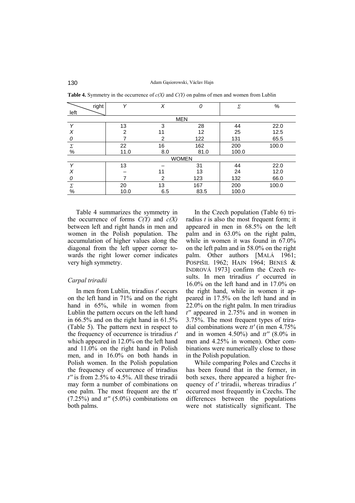|              | right         | $\checkmark$<br>X |              | Σ     | $\%$  |  |  |  |  |  |  |
|--------------|---------------|-------------------|--------------|-------|-------|--|--|--|--|--|--|
| left         |               |                   |              |       |       |  |  |  |  |  |  |
| <b>MEN</b>   |               |                   |              |       |       |  |  |  |  |  |  |
| $\checkmark$ | 13            | 3                 | 28           | 44    | 22.0  |  |  |  |  |  |  |
| X            | $\mathcal{P}$ | 11                | 12           | 25    | 12.5  |  |  |  |  |  |  |
| 0            |               | 2                 | 122          | 131   | 65.5  |  |  |  |  |  |  |
| Σ            | 22            | 16                | 162          | 200   | 100.0 |  |  |  |  |  |  |
| $\%$         |               | 11.0<br>8.0       | 81.0         | 100.0 |       |  |  |  |  |  |  |
|              |               |                   | <b>WOMEN</b> |       |       |  |  |  |  |  |  |
| $\checkmark$ | 13            |                   | 31           | 44    | 22.0  |  |  |  |  |  |  |
| X            |               | 11                | 13           | 24    | 12.0  |  |  |  |  |  |  |
| 0            |               | 2                 | 123          | 132   | 66.0  |  |  |  |  |  |  |
| Σ            | 20            | 13                | 167          | 200   | 100.0 |  |  |  |  |  |  |
| $\%$         |               | 10.0<br>6.5       | 83.5         | 100.0 |       |  |  |  |  |  |  |

**Table 4.** Symmetry in the occurrence of *c(X)* and *C(Y)* on palms of men and women from Lublin

Table 4 summarizes the symmetry in the occurrence of forms *C(Y)* and *c(X)* between left and right hands in men and women in the Polish population. The accumulation of higher values along the diagonal from the left upper corner towards the right lower corner indicates very high symmetry.

#### *Carpal triradii*

In men from Lublin, triradius *t'* occurs on the left hand in 71% and on the right hand in 65%, while in women from Lublin the pattern occurs on the left hand in 66.5% and on the right hand in 61.5% (Table 5). The pattern next in respect to the frequency of occurrence is triradius *t'* which appeared in 12.0% on the left hand and 11.0% on the right hand in Polish men, and in 16.0% on both hands in Polish women. In the Polish population the frequency of occurrence of triradius *t''* is from 2.5% to 4.5%. All these triradii may form a number of combinations on one palm. The most frequent are the tt' (7.25%) and *tt''* (5.0%) combinations on both palms.

In the Czech population (Table 6) triradius *t* is also the most frequent form; it appeared in men in 68.5% on the left palm and in 63.0% on the right palm, while in women it was found in 67.0% on the left palm and in 58.0% on the right palm. Other authors [MALÁ 1961; POSPIäIL 1962; HAJN 1964; BENEä & INDROVÁ 1973] confirm the Czech results. In men triradius *t'* occurred in 16.0% on the left hand and in 17.0% on the right hand, while in women it appeared in 17.5% on the left hand and in 22.0% on the right palm. In men triradius *t''* appeared in 2.75% and in women in 3.75%. The most frequent types of triradial combinations were *tt'* (in men 4.75% and in women 4.50%) and *tt''* (8.0% in men and 4.25% in women). Other combinations were numerically close to those in the Polish population.

While comparing Poles and Czechs it has been found that in the former, in both sexes, there appeared a higher frequency of *t'* triradii, whereas triradius *t'* occurred most frequently in Czechs. The differences between the populations were not statistically significant. The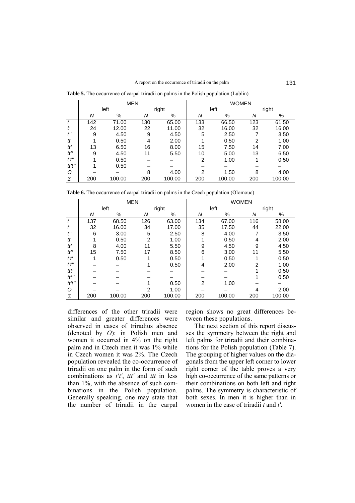MEN WOMEN left right left right *N* % *N* % *N* % *N* % *t* 142 71.00 130 65.00 133 66.50 123 61.50 *t'* 24 12.00 22 11.00 32 16.00 32 16.00 *t''* 9 4.50 9 4.50 5 2.50 7 3.50 *tt* 1 0.50 4 2.00 1 0.50 2 1.00 *tt'* 13 6.50 16 8.00 15 7.50 14 7.00 *tt''* 9 4.50 11 5.50 10 5.00 13 6.50 *t't''* 1 0.50 – – 2 1.00 1 0.50 *tt't''* 1 0.50 – – – – – – *O* – – 8 4.00 2 1.50 8 4.00  $\chi$   $|$  200  $|$  100.00  $|$  200  $|$  200  $|$  200  $|$  200  $|$  100.00  $|$  200  $|$  100.00  $|$ 

**Table 5.** The occurrence of carpal triradii on palms in the Polish population (Lublin)

Table 6. The occurrence of carpal triradii on palms in the Czech population (Olomouc)

|                    |        | <b>MEN</b> |     |        | <b>WOMEN</b>   |        |                |        |  |  |
|--------------------|--------|------------|-----|--------|----------------|--------|----------------|--------|--|--|
|                    | left   |            |     | right  |                | left   | right          |        |  |  |
|                    | Ν<br>% |            | Ν   | %      | N              | %      | Ν              | $\%$   |  |  |
| t                  | 137    | 68.50      | 126 | 63.00  | 134            | 67.00  | 116            | 58.00  |  |  |
| ť                  | 32     | 16.00      | 34  | 17.00  | 35             | 17.50  | 44             | 22.00  |  |  |
| $t^{\prime\prime}$ | 6      | 3.00       | 5   | 2.50   | 8              | 4.00   |                | 3.50   |  |  |
| tt                 |        | 0.50       | 2   | 1.00   |                | 0.50   | 4              | 2.00   |  |  |
| tť                 | 8      | 4.00       | 11  | 5.50   | 9              | 4.50   | 9              | 4.50   |  |  |
| tt"                | 15     | 7.50       | 17  | 8.50   | 6              | 3.00   | 11             | 5.50   |  |  |
| t't'               | 1      | 0.50       |     | 0.50   |                | 0.50   |                | 0.50   |  |  |
| t't"               |        |            |     | 0.50   | 4              | 2.00   | $\overline{2}$ | 1.00   |  |  |
| ttt'               |        |            |     |        |                |        |                | 0.50   |  |  |
| ttt"               |        |            |     |        |                |        |                | 0.50   |  |  |
| tt't''             |        |            |     | 0.50   | $\overline{2}$ | 1.00   |                |        |  |  |
| O                  |        |            | 2   | 1.00   |                |        | 4              | 2.00   |  |  |
| Σ                  | 200    | 100.00     | 200 | 100.00 | 200            | 100.00 | 200            | 100.00 |  |  |

differences of the other triradii were similar and greater differences were observed in cases of triradius absence (denoted by *O*): in Polish men and women it occurred in 4% on the right palm and in Czech men it was 1% while in Czech women it was 2%. The Czech population revealed the co-occurrence of triradii on one palm in the form of such combinations as *t't'*, *ttt'* and *ttt* in less than 1%, with the absence of such combinations in the Polish population. Generally speaking, one may state that the number of triradii in the carpal

region shows no great differences between these populations.

The next section of this report discusses the symmetry between the right and left palms for triradii and their combinations for the Polish population (Table 7). The grouping of higher values on the diagonals from the upper left corner to lower right corner of the table proves a very high co-occurrence of the same patterns or their combinations on both left and right palms. The symmetry is characteristic of both sexes. In men it is higher than in women in the case of triradii *t* and *t'*.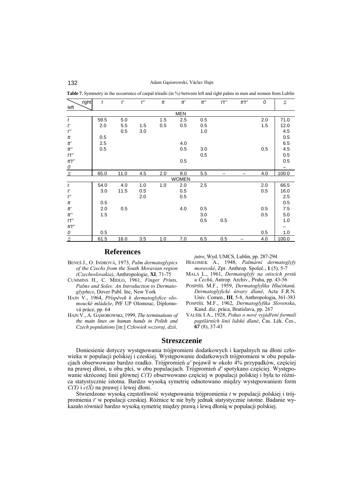132 Adam Gąsiorowski, Václav Hajn

**Table 7.** Symmetry in the occurrence of carpal triradii (in %) between left and right palms in men and women from Lublin

| right                    | t    | $t^{\prime}$ | $t^{\prime\prime}$ | tt  | tť           | tt'' | $t^\prime t^{\prime\prime}$ | tt't'' | 0   | Σ     |  |
|--------------------------|------|--------------|--------------------|-----|--------------|------|-----------------------------|--------|-----|-------|--|
| left                     |      |              |                    |     |              |      |                             |        |     |       |  |
| <b>MEN</b>               |      |              |                    |     |              |      |                             |        |     |       |  |
| $\boldsymbol{t}$         | 59.5 | 5.0          |                    | 1.5 | 2.5          | 0.5  |                             |        | 2.0 | 71.0  |  |
| $t^\prime$               | 2.0  | 5.5          | 1.5                | 0.5 | 0.5          | 0.5  |                             |        | 1.5 | 12.0  |  |
| $t^{\prime\prime}$       |      | 0.5          | 3.0                |     |              | 1.0  |                             |        |     | 4.5   |  |
| tt                       | 0.5  |              |                    |     |              |      |                             |        |     | 0.5   |  |
| $t\!t^\prime$            | 2.5  |              |                    |     | 4.0          |      |                             |        |     | 6.5   |  |
| tt''                     | 0.5  |              |                    |     | 0.5          | 3.0  |                             |        | 0.5 | 4.5   |  |
| t't''                    |      |              |                    |     |              | 0.5  |                             |        |     | 0.5   |  |
| tt't''                   |      |              |                    |     | 0.5          |      |                             |        |     | 0.5   |  |
| $\overline{\mathcal{O}}$ |      |              |                    |     |              |      |                             |        |     |       |  |
| $\varSigma$              | 65.0 | 11.0         | 4.5                | 2.0 | 8.0          | 5.5  |                             |        | 4.0 | 100.0 |  |
|                          |      |              |                    |     | <b>WOMEN</b> |      |                             |        |     |       |  |
| $\boldsymbol{t}$         | 54.0 | 4.0          | 1.0                | 1.0 | 2.0          | 2.5  |                             |        | 2.0 | 66.5  |  |
| $t^{\prime}$             | 3.0  | 11.5         | 0.5                |     | 0.5          |      |                             |        | 0.5 | 16.0  |  |
| $t^{\prime\prime}$       |      |              | 2.0                |     | 0.5          |      |                             |        |     | 2.5   |  |
| tt                       | 0.5  |              |                    |     |              |      |                             |        |     | 0.5   |  |
| tť                       | 2.0  | 0.5          |                    |     | 4.0          | 0.5  |                             |        | 0.5 | 7.5   |  |
| tt''                     | 1.5  |              |                    |     |              | 3.0  |                             |        | 0.5 | 5.0   |  |
| t't''                    |      |              |                    |     |              | 0.5  | 0.5                         |        |     | 1.0   |  |
| tt't''                   |      |              |                    |     |              |      |                             |        |     |       |  |
| $\mathcal{O}$            | 0.5  |              |                    |     |              |      |                             |        | 0.5 | 1.0   |  |
| $\sum$                   | 61.5 | 16.0         | 3.5                | 1.0 | 7.0          | 6.5  | 0.5                         |        | 4.0 | 100.0 |  |

# **References**

- BENEŠ J., O. INDROVÁ, 1973, *Palm dermatoglypics of the Czechs from the South Moravian region (Czechoslovakia)*, Anthropologie, **XI**, 71-75
- CUMMINS H., C. MIDLO, 1961, *Finger Prints, Palms and Soles: An Introduction to Dermatoglyphics*, Dover Publ. Inc, New York
- HAJN V., 1964, *PřÌspěvek k dermatoglyfice olo*moucké mládeže, PřF UP Olomouc, Diplomová práce, pp. 64
- HAJN V., A. GĄSIOROWSKI, 1999, *The terminations of the main lines on human hands in Polish and Czech populations* [in:] *Człowiek wczoraj, dziś,*

*jutro*, Wyd. UMCS, Lublin, pp. 287-294

- HOLOMEK A., 1948, Palmární dermatoglyfy *moravskÈ*, Zpr. Anthrop. Společ., **1** (5), 5-7
- MALÁ L., 1961, *Dermatoglyfy na otiscích prstů u Čechů*, Antrop. Archiv., Praha, pp. 43-56
- POSPIŠÍL M.F., 1959, *Dermatoglyfika Hlučiňanů*. *DermatoglyfickÈ ˙tvary dlaně*, Acta F.R.N. Univ. Comen., **III**, 5-8, Anthropologia, 361-383
- POSPIŠÍL M.F., 1962, *Dermatoglyfika Slovenska*, Kand. diz. práca, Bratislava, pp. 267
- VALŠÍK I.A., 1928, Pokus o nové vyjádření formulí papilárních linií lidské dlané, Čas. Lék. Čes., **67** (8), 37-43

# **Streszczenie**

Doniesienie dotyczy występowania trójpromieni dodatkowych i karpalnych na dłoni człowieka w populacji polskiej i czeskiej. Występowanie dodatkowych trójpromieni w obu populacjach obserwowano bardzo rzadko. Trójpromień *a'* pojawił w około 4% przypadków, częściej na prawej dłoni, u obu płci, w obu populacjach. Trójpromień d' spotykano częściej. Występowanie skróconej linii głównej *C(Y)* obserwowano częściej w populacji polskiej i była to różnica statystycznie istotna. Bardzo wysoką symetrię odnotowano między występowaniem form *C(Y)* i *c(X)* na prawej i lewej dłoni.

Stwierdzono wysoką częstotliwość występowania trójpromienia *t* w populacji polskiej i trójpromienia *t'* w populacji czeskiej. RÛżnice te nie były jednak statystycznie istotne. Badanie wykazało również bardzo wysoką symetrię między prawą i lewą dłonią w populacji polskiej.